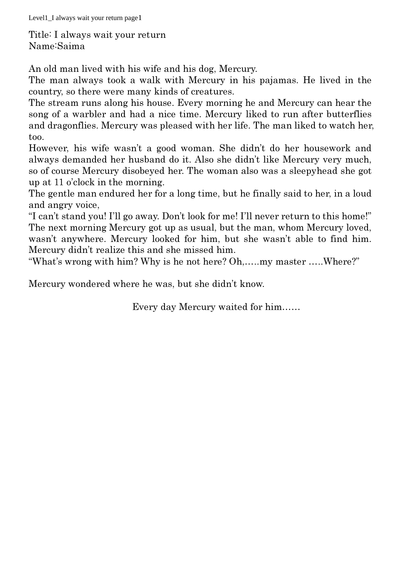Level1\_I always wait your return page1

Title: I always wait your return Name:Saima

An old man lived with his wife and his dog, Mercury.

The man always took a walk with Mercury in his pajamas. He lived in the country, so there were many kinds of creatures.

The stream runs along his house. Every morning he and Mercury can hear the song of a warbler and had a nice time. Mercury liked to run after butterflies and dragonflies. Mercury was pleased with her life. The man liked to watch her, too.

However, his wife wasn't a good woman. She didn't do her housework and always demanded her husband do it. Also she didn't like Mercury very much, so of course Mercury disobeyed her. The woman also was a sleepyhead she got up at 11 o'clock in the morning.

The gentle man endured her for a long time, but he finally said to her, in a loud and angry voice,

"I can't stand you! I'll go away. Don't look for me! I'll never return to this home!" The next morning Mercury got up as usual, but the man, whom Mercury loved, wasn't anywhere. Mercury looked for him, but she wasn't able to find him. Mercury didn't realize this and she missed him.

"What's wrong with him? Why is he not here? Oh,…..my master …..Where?"

Mercury wondered where he was, but she didn't know.

Every day Mercury waited for him……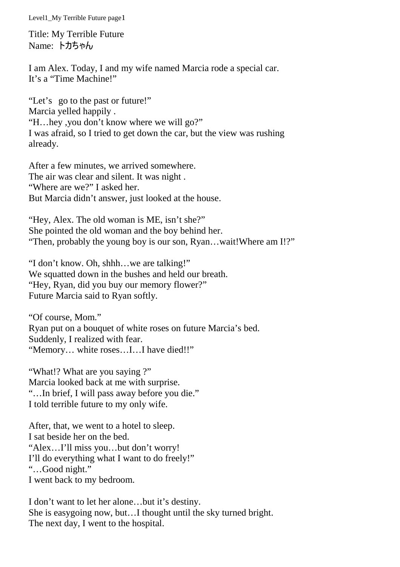Level1\_My Terrible Future page1

Title: My Terrible Future Name: トカちゃん

I am Alex. Today, I and my wife named Marcia rode a special car. It's a "Time Machine!"

"Let's go to the past or future!" Marcia yelled happily . "H…hey ,you don't know where we will go?" I was afraid, so I tried to get down the car, but the view was rushing already.

After a few minutes, we arrived somewhere. The air was clear and silent. It was night . "Where are we?" I asked her. But Marcia didn't answer, just looked at the house.

"Hey, Alex. The old woman is ME, isn't she?" She pointed the old woman and the boy behind her. "Then, probably the young boy is our son, Ryan…wait!Where am I!?"

"I don't know. Oh, shhh…we are talking!" We squatted down in the bushes and held our breath. "Hey, Ryan, did you buy our memory flower?" Future Marcia said to Ryan softly.

"Of course, Mom." Ryan put on a bouquet of white roses on future Marcia's bed. Suddenly, I realized with fear. "Memory… white roses…I…I have died!!"

"What!? What are you saying ?" Marcia looked back at me with surprise. "…In brief, I will pass away before you die." I told terrible future to my only wife.

After, that, we went to a hotel to sleep. I sat beside her on the bed. "Alex…I'll miss you…but don't worry! I'll do everything what I want to do freely!" "…Good night." I went back to my bedroom.

I don't want to let her alone…but it's destiny. She is easygoing now, but…I thought until the sky turned bright. The next day, I went to the hospital.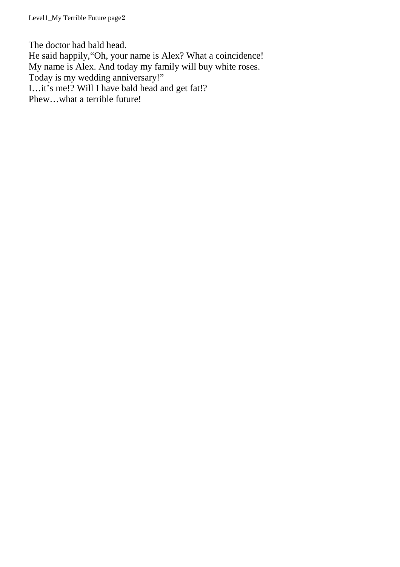Level1\_My Terrible Future page2

The doctor had bald head. He said happily,"Oh, your name is Alex? What a coincidence! My name is Alex. And today my family will buy white roses. Today is my wedding anniversary!" I…it's me!? Will I have bald head and get fat!? Phew…what a terrible future!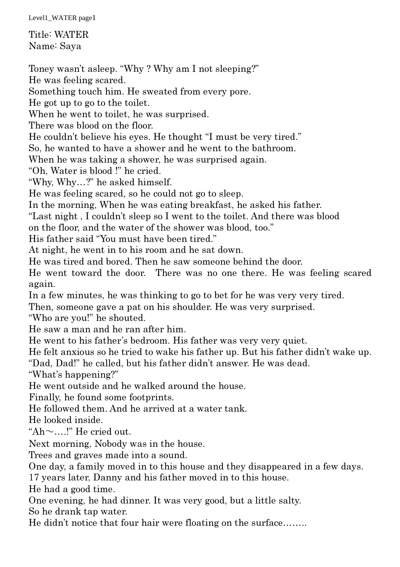Level1\_WATER page1

Title: WATER Name: Saya

Toney wasn't asleep. "Why ? Why am I not sleeping?" He was feeling scared. Something touch him. He sweated from every pore. He got up to go to the toilet. When he went to toilet, he was surprised. There was blood on the floor. He couldn't believe his eyes. He thought "I must be very tired." So, he wanted to have a shower and he went to the bathroom. When he was taking a shower, he was surprised again. "Oh, Water is blood !" he cried. "Why, Why…?" he asked himself. He was feeling scared, so he could not go to sleep. In the morning, When he was eating breakfast, he asked his father. "Last night , I couldn't sleep so I went to the toilet. And there was blood on the floor, and the water of the shower was blood, too." His father said "You must have been tired." At night, he went in to his room and he sat down. He was tired and bored. Then he saw someone behind the door. He went toward the door. There was no one there. He was feeling scared again. In a few minutes, he was thinking to go to bet for he was very very tired. Then, someone gave a pat on his shoulder. He was very surprised. "Who are you!" he shouted. He saw a man and he ran after him. He went to his father's bedroom. His father was very very quiet. He felt anxious so he tried to wake his father up. But his father didn't wake up. "Dad, Dad!" he called, but his father didn't answer. He was dead. "What's happening?" He went outside and he walked around the house. Finally, he found some footprints. He followed them. And he arrived at a water tank. He looked inside. "Ah $\sim$ ....!" He cried out. Next morning, Nobody was in the house. Trees and graves made into a sound. One day, a family moved in to this house and they disappeared in a few days. 17 years later, Danny and his father moved in to this house. He had a good time. One evening, he had dinner. It was very good, but a little salty. So he drank tap water.

He didn't notice that four hair were floating on the surface……..